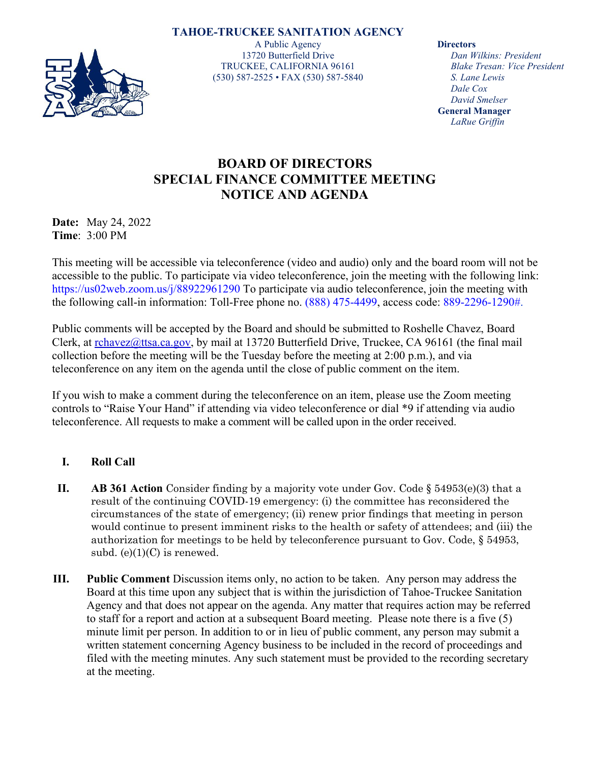## **TAHOE-TRUCKEE SANITATION AGENCY**



A Public Agency 13720 Butterfield Drive TRUCKEE, CALIFORNIA 96161 (530) 587-2525 • FAX (530) 587-5840

**Directors**

*Dan Wilkins: President Blake Tresan: Vice President S. Lane Lewis Dale Cox David Smelser* **General Manager** *LaRue Griffin*

## **BOARD OF DIRECTORS SPECIAL FINANCE COMMITTEE MEETING NOTICE AND AGENDA**

**Date:** May 24, 2022 **Time**: 3:00 PM

This meeting will be accessible via teleconference (video and audio) only and the board room will not be accessible to the public. To participate via video teleconference, join the meeting with the following link: https://us02web.zoom.us/j/88922961290 To participate via audio teleconference, join the meeting with the following call-in information: Toll-Free phone no. (888) 475-4499, access code: 889-2296-1290#.

Public comments will be accepted by the Board and should be submitted to Roshelle Chavez, Board Clerk, at [rchavez@ttsa.ca.gov,](mailto:rchavez@ttsa.ca.gov) by mail at 13720 Butterfield Drive, Truckee, CA 96161 (the final mail collection before the meeting will be the Tuesday before the meeting at 2:00 p.m.), and via teleconference on any item on the agenda until the close of public comment on the item.

If you wish to make a comment during the teleconference on an item, please use the Zoom meeting controls to "Raise Your Hand" if attending via video teleconference or dial \*9 if attending via audio teleconference. All requests to make a comment will be called upon in the order received.

## **I. Roll Call**

- **II. AB 361 Action** Consider finding by a majority vote under Gov. Code § 54953(e)(3) that a result of the continuing COVID-19 emergency: (i) the committee has reconsidered the circumstances of the state of emergency; (ii) renew prior findings that meeting in person would continue to present imminent risks to the health or safety of attendees; and (iii) the authorization for meetings to be held by teleconference pursuant to Gov. Code, § 54953, subd.  $(e)(1)(C)$  is renewed.
- **III. Public Comment** Discussion items only, no action to be taken. Any person may address the Board at this time upon any subject that is within the jurisdiction of Tahoe-Truckee Sanitation Agency and that does not appear on the agenda. Any matter that requires action may be referred to staff for a report and action at a subsequent Board meeting. Please note there is a five (5) minute limit per person. In addition to or in lieu of public comment, any person may submit a written statement concerning Agency business to be included in the record of proceedings and filed with the meeting minutes. Any such statement must be provided to the recording secretary at the meeting.